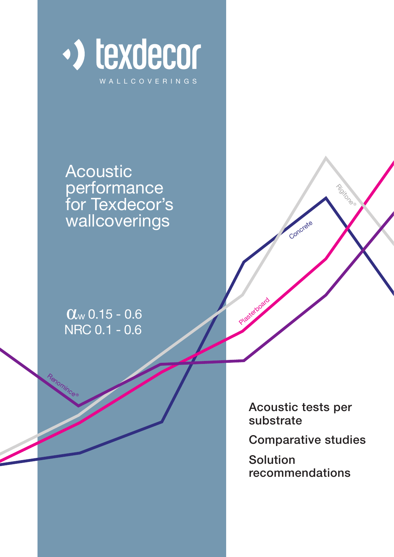

Acoustic performance for Texdecor's wallcoverings

0.15 - 0.6 w NRC 0.1 - 0.6

Renomince®

Acoustic tests per substrate

Concrete

Rigitone

Plasterboard

Comparative studies

Solution recommendations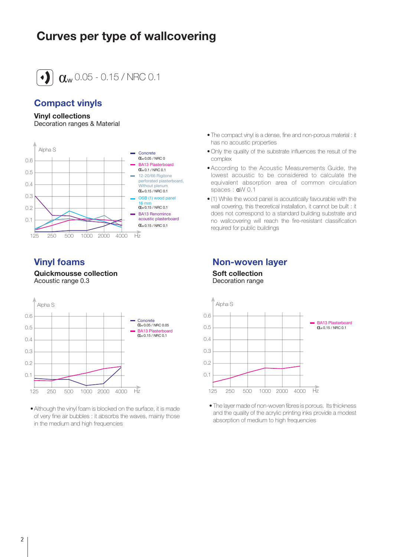# **Curves per type of wallcovering**



 $\alpha_{\rm w}$ 0.05 - 0.15 / NRC 0.1

# **Compact vinyls**

### **Vinyl collections**

Decoration ranges & Material



# **Vinyl foams**

**Quickmousse collection** Acoustic range 0.3



• Although the vinyl foam is blocked on the surface, it is made of very fine air bubbles : it absorbs the waves, mainly those in the medium and high frequencies

- The compact vinyl is a dense, fine and non-porous material : it has no acoustic properties
- Only the quality of the substrate influences the result of the complex
- According to the Acoustic Measurements Guide, the lowest acoustic to be considered to calculate the equivalent absorption area of common circulation spaces : αW 0.1
- (1) While the wood panel is acoustically favourable with the wall covering, this theoretical installation, it cannot be built : it does not correspond to a standard building substrate and no wallcovering will reach the fire-resistant classification required for public buildings

# **Non-woven layer**

**Soft collection** Decoration range



• The layer made of non-woven fibres is porous. Its thickness and the quality of the acrylic printing inks provide a modest absorption of medium to high frequencies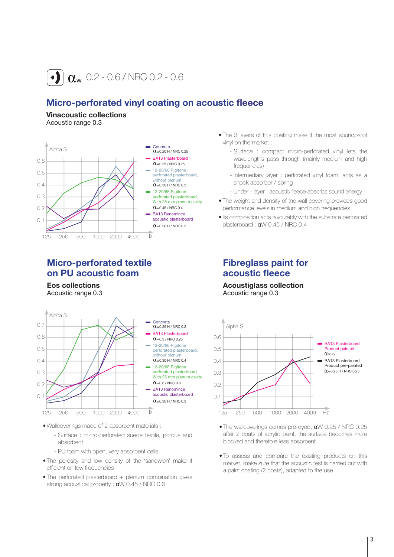

# **Micro-perforated vinyl coating on acoustic fleece**

**Vinacoustic collections** Acoustic range 0.3



# **Micro-perforated textile on PU acoustic foam**

**Eos collections** Acoustic range 0.3



- Wallcoverings made of 2 absorbent materials :
	- Surface : micro-perforated suede textile, porous and absorbent
	- PU foam with open, very absorbent cells
- The porosity and low density of the 'sandwich' make it efficient on low frequencies
- The perforated plasterboard + plenum combination gives strong acoustical property : αW 0.45 / NRC 0.6
- The 3 layers of this coating make it the most soundproof vinyl on the market :
	- Surface : compact micro-perforated vinyl lets the wavelengths pass through (mainly medium and high frequencies)
	- Intermediary layer : perforated vinyl foam, acts as a shock absorber / spring
	- Under layer : acoustic fleece absorbs sound energy
- The weight and density of the wall covering provides good performance levels in medium and high frequencies
- Its composition acts favourably with the substrate perforated plasterboard : αW 0.45 / NRC 0.4

# **Fibreglass paint for acoustic fleece**

**Acoustiglass collection** Acoustic range 0.3



- The wallcoverings comes pre-dyed, aW 0.25 / NRC 0.25 after 2 coats of acrylic paint, the surface becomes more blocked and therefore less absorbent
- To assess and compare the existing products on this market, make sure that the acoustic test is carried out with a paint coating (2 coats), adapted to the use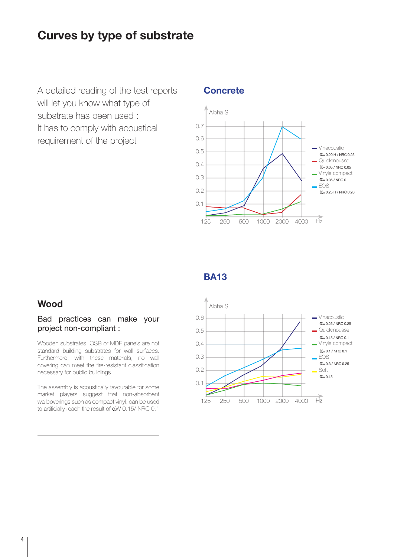# **Curves by type of substrate**

A detailed reading of the test reports will let you know what type of substrate has been used : It has to comply with acoustical requirement of the project

## **Concrete**



# **BA13**

# **Wood**

# Bad practices can make your project non-compliant :

Wooden substrates, OSB or MDF panels are not standard building substrates for wall surfaces. Furthermore, with these materials, no wall covering can meet the fire-resistant classification necessary for public buildings

The assembly is acoustically favourable for some market players suggest that non-absorbent wallcoverings such as compact vinyl, can be used to artificially reach the result of αW 0.15/ NRC 0.1

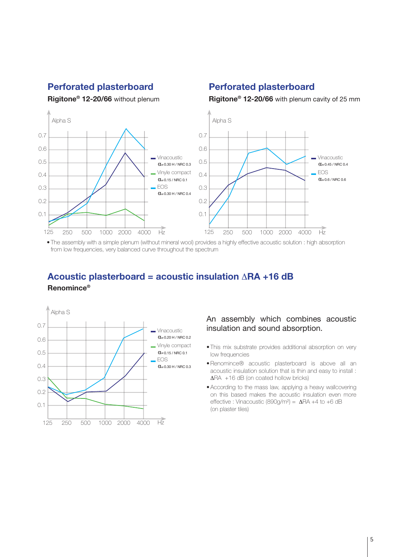# **Perforated plasterboard Perforated plasterboard**

**Rigitone® 12-20/66** without plenum **Rigitone® 12-20/66** with plenum cavity of 25 mm



• The assembly with a simple plenum (without mineral wool) provides a highly effective acoustic solution : high absorption from low frequencies, very balanced curve throughout the spectrum

# **Acoustic plasterboard = acoustic insulation** ∆**RA +16 dB Renomince®**



## An assembly which combines acoustic insulation and sound absorption.

- This mix substrate provides additional absorption on very low frequencies
- Renomince® acoustic plasterboard is above all an acoustic insulation solution that is thin and easy to install : ∆RA +16 dB (on coated hollow bricks)
- According to the mass law, applying a heavy wallcovering on this based makes the acoustic insulation even more effective : Vinacoustic (890g/m²) = ∆RA +4 to +6 dB (on plaster tiles)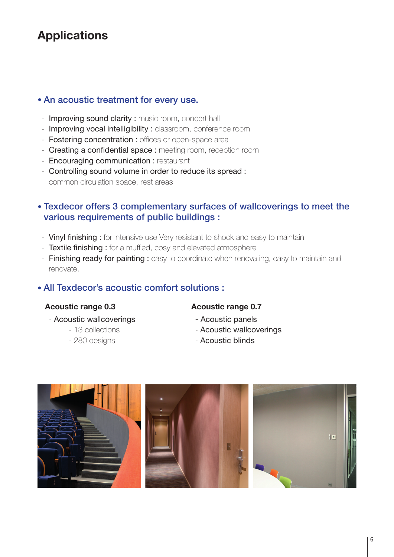# **Applications**

# • An acoustic treatment for every use.

- Improving sound clarity : music room, concert hall
- Improving vocal intelligibility : classroom, conference room
- Fostering concentration : offices or open-space area
- Creating a confidential space : meeting room, reception room
- Encouraging communication : restaurant
- Controlling sound volume in order to reduce its spread : common circulation space, rest areas

# • Texdecor offers 3 complementary surfaces of wallcoverings to meet the various requirements of public buildings :

- Vinyl finishing : for intensive use Very resistant to shock and easy to maintain
- Textile finishing : for a muffled, cosy and elevated atmosphere
- Finishing ready for painting : easy to coordinate when renovating, easy to maintain and renovate.

# • All Texdecor's acoustic comfort solutions :

# **Acoustic range 0.3**

### - Acoustic wallcoverings

- 13 collections
- 280 designs
- **Acoustic range 0.7**
- Acoustic panels
- Acoustic wallcoverings
- Acoustic blinds

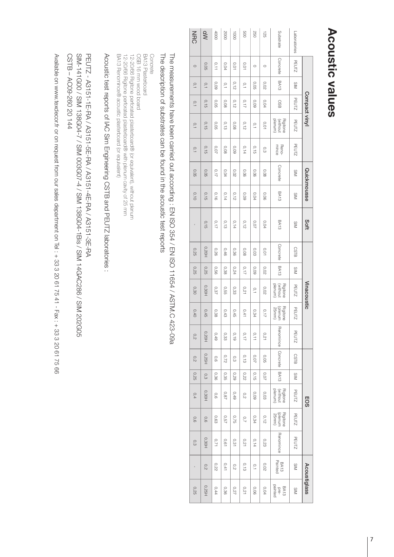# **Acoustic values Acoustic values**

|              |              |             | Compact vinyl |                                 |                | Quickmousse |             | Soft        |             |             | Vinacoustic                     |                              |                      |             |             | <b>EOS</b>                      |                              |              | Acoustiglass    |                         |
|--------------|--------------|-------------|---------------|---------------------------------|----------------|-------------|-------------|-------------|-------------|-------------|---------------------------------|------------------------------|----------------------|-------------|-------------|---------------------------------|------------------------------|--------------|-----------------|-------------------------|
| Laboratories | <b>PEUTZ</b> | SIM         | <b>PEUTZ</b>  | <b>PEUTZ</b>                    | <b>PEUTZ</b>   | SIM         | SIM         | SIM         | <b>CSTB</b> | SIM         | <b>PEUTZ</b>                    | <b>PEUTZ</b>                 | <b>PEUTZ</b>         | <b>CSTB</b> | SIM         | <b>PEUTZ</b>                    | <b>PEUTZ</b>                 | <b>PEUTZ</b> | SIM             | SIM                     |
| Substrate    | Concrete     | <b>BA13</b> | <b>GSO</b>    | Rigitone<br>(without<br>plenum) | Reno-<br>mince | Concrete    | <b>BA13</b> | BA13        | Concrete    | <b>BA13</b> | plenum)<br>(without<br>Rigitone | Rigitone<br>(plenum<br>25mm) | Renomince   Concrete |             | <b>BA13</b> | Rigitone<br>(without<br>plenum) | Rigitone<br>(plenum<br>25mm) | Renomince    | BA13<br>Painted | BA13<br>pre-<br>painted |
| 125          | $\circ$      | 0.02        | 0,04          | 0,01                            | O,3            | 80,0        | 90°O        | 0,04        | 0,01        | 0,02        | 0,02                            | 0,17                         | 0,21                 | 0,05        | 20,07       | 0,03                            | 0,12                         | 0,23         | 0,02            | 0,04                    |
| 250          | $\circ$      | <b>O.O5</b> | 0.09          | o,                              | 0,15           | 0.06        | 0,04        | <b>70,0</b> | 0,03        | 0,09        | $\circ$                         | 0,34                         | 0,11                 | 0.07        | 0,15        | 0,09                            | 0,34                         | 0,14         | $\circ$         | 0.06                    |
| 800          | 10.0         | $\circ$ .   | 0,17          | 0,12                            | 0,14           | 90'0        | 0.09        | 0,12        | 0,08        | 0,17        | 0,21                            | 0,41                         | 0,17                 | 0,13        | <b>0.22</b> | 0,2                             | 0,7                          | 170          | 0,13            | 0,21                    |
| <b>LOOO</b>  | 10,0         | 0,12        | 0,12          | 0.08                            | 0,09           | <b>0,02</b> | 0,12        | 0,14        | 0,36        | 0,24        | 0,33                            | 0,45                         | 0,19                 | 0,3         | 62'0        | 0,49                            | 0,75                         | 0,31         | $\frac{0}{2}$   | 0,27                    |
| 2000         | 0,04         | O, 1        | 0,08          | 0,13                            | 0,08           | 0,04        | 0,14        | 0,13        | 0,46        | 0,38        | 0,55                            | 0,43                         | 0,33                 | 0,72        | 0,35        | 0,87                            | 0.57                         | 19'0         | 0,41            | 0,36                    |
| 4000         | 0,11         | 60'0        | <b>90°0</b>   | 0,05                            | 0,07           | 0,17        | 0,16        | 0,17        | 0,26        | 930         | 0,37                            | 0,38                         | 0,49                 | 0,6         | 0,36        | 0,6                             | 0.63                         | 0,71         | 0,22            | 0,44                    |
| aw           | 0,05         | 0,1         | 0,15          | 0,15                            | 0,15           | 0,05        | 0,15        | 0,15        | 0,20H       | 0,25        | 0,30H                           | 0,45                         | <b>D.20H</b>         | 0,25H       | 0,3         | <b>D.30H</b>                    | 0,6                          | <b>D.30H</b> | 0,2             | 0,25H                   |
| NRC          | $\circ$      | 0,1         | 0,1           | 0,1                             | 0,1            | 0,05        | 0,10        |             | 0,25        | 0,25        | 0,30                            | 0,40                         | 0,2                  | 0,2         | 0,25        | 0,4                             | 0,6                          | 0,3          |                 | 0,25                    |

# The measurements have been carried out according : EN ISO 354 / EN ISO 11654 / ASTM.C 423-09a The measurements have been carried out according : EN ISO 354 / EN ISO 11654 / ASTM.C 423-09a

The description of substrates can be found in the acoustic test reports The description of substrates can be found in the acoustic test reports

BA13 Plasterboard<br>OSB 16 mm wood board BA13 Renomince® acoustic plasterboard (or equivalent) 12-20/66 Rigitone perforated plasterboard® with plenum cavity of 25 mm 12-20/06 Rigitone perforated plasterboard® (or equivalent), without plenum Concrete BA13 Renomince® acoustic plasterboard (or equivalent) 12-20/66 Rigitone perforated plasterboard® with plenum cavity of 25 mm 12-20/66 Rigitone perforated plasterboard® (or equivalent), without plenum OSB 16 mm wood board BA13 Plasterboard Concrete

# Acoustic test reports of IAC Sim Engineering CSTB and PEUTZ laboratories : Acoustic test reports of IAC Sim Engineering CSTB and PEUTZ laboratories :

# CSTB - AC09-260 20 144 SIM-141G00 / SIM 138G04-7 / SIM 003G07-4 / SIM 138G04-1Bis / SIM 14GAC286 / SIM 202G05 PEUTZ - A3151-1E-RA / A3151-5E-RA / A3151-4E-RA / A3151-3E-RA CSTB – AC09-260 20 144 SIM-141G00 / SIM 138G04-7 / SIM 003G07-4 / SIM 138G04-1Bis / SIM 14GAC286 / SIM 202G05 PEUTZ - A3151-1E-RA / A3151-5E-RA / A3151-4E-RA / A3151-3E-RA

Available on www.texdecor.fr or on request from our sales department on Tel : + 33 3 20 61 75 41 - Fax : + 33 3 20 61 75 66 Available on www.texdecor.fr or on request from our sales department on Tel : + 33 3 20 61 75 41 - Fax : + 33 3 20 61 75 66